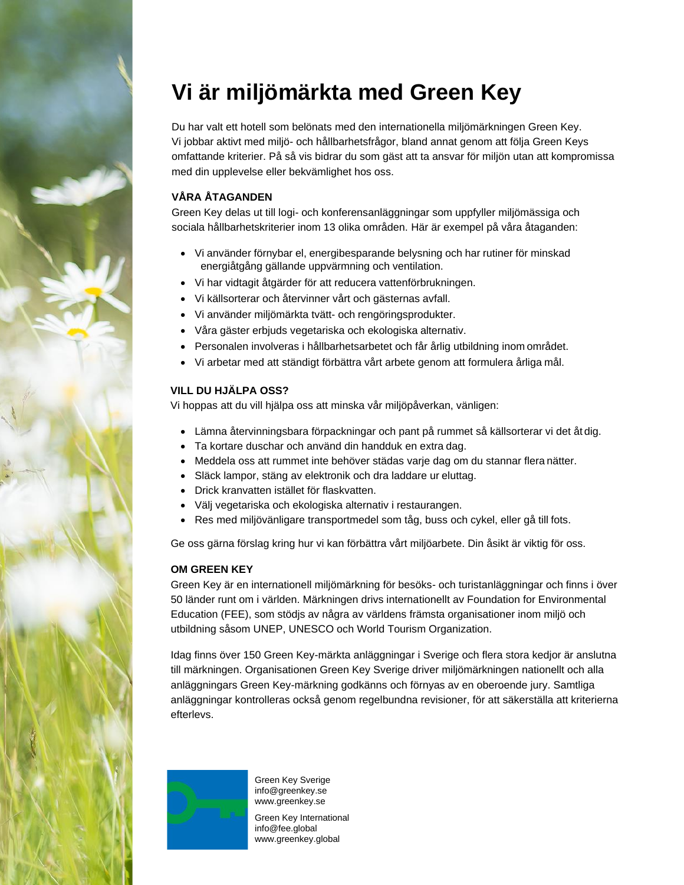

# **Vi är miljömärkta med Green Key**

Du har valt ett hotell som belönats med den internationella miljömärkningen Green Key. Vi jobbar aktivt med miljö- och hållbarhetsfrågor, bland annat genom att följa Green Keys omfattande kriterier. På så vis bidrar du som gäst att ta ansvar för miljön utan att kompromissa med din upplevelse eller bekvämlighet hos oss.

## **VÅRA ÅTAGANDEN**

Green Key delas ut till logi- och konferensanläggningar som uppfyller miljömässiga och sociala hållbarhetskriterier inom 13 olika områden. Här är exempel på våra åtaganden:

- Vi använder förnybar el, energibesparande belysning och har rutiner för minskad energiåtgång gällande uppvärmning och ventilation.
- Vi har vidtagit åtgärder för att reducera vattenförbrukningen.
- Vi källsorterar och återvinner vårt och gästernas avfall.
- Vi använder miljömärkta tvätt- och rengöringsprodukter.
- Våra gäster erbjuds vegetariska och ekologiska alternativ.
- Personalen involveras i hållbarhetsarbetet och får årlig utbildning inom området.
- Vi arbetar med att ständigt förbättra vårt arbete genom att formulera årliga mål.

### **VILL DU HJÄLPA OSS?**

Vi hoppas att du vill hjälpa oss att minska vår miljöpåverkan, vänligen:

- Lämna återvinningsbara förpackningar och pant på rummet så källsorterar vi det åt dig.
- Ta kortare duschar och använd din handduk en extra dag.
- Meddela oss att rummet inte behöver städas varje dag om du stannar flera nätter.
- Släck lampor, stäng av elektronik och dra laddare ur eluttag.
- Drick kranvatten istället för flaskvatten.
- Välj vegetariska och ekologiska alternativ i restaurangen.
- Res med miljövänligare transportmedel som tåg, buss och cykel, eller gå till fots.

Ge oss gärna förslag kring hur vi kan förbättra vårt miljöarbete. Din åsikt är viktig för oss.

### **OM GREEN KEY**

Green Key är en internationell miljömärkning för besöks- och turistanläggningar och finns i över 50 länder runt om i världen. Märkningen drivs internationellt av Foundation for Environmental Education (FEE), som stödjs av några av världens främsta organisationer inom miljö och utbildning såsom UNEP, UNESCO och World Tourism Organization.

Idag finns över 150 Green Key-märkta anläggningar i Sverige och flera stora kedjor är anslutna till märkningen. Organisationen Green Key Sverige driver miljömärkningen nationellt och alla anläggningars Green Key-märkning godkänns och förnyas av en oberoende jury. Samtliga anläggningar kontrolleras också genom regelbundna revisioner, för att säkerställa att kriterierna efterlevs.



Green Key Sverige [info@greenkey.se](mailto:info@greenkey.se) [www.greenkey.se](http://www.greenkey.se/)

Green Key International [info@fee.global](mailto:info@fee.global) [www.greenkey.global](http://www.greenkey.global/)